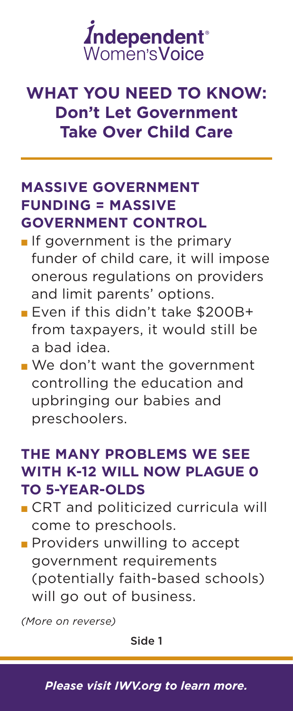

# **WHAT YOU NEED TO KNOW: Don't Let Government Take Over Child Care**

#### **MASSIVE GOVERNMENT FUNDING = MASSIVE GOVERNMENT CONTROL**

- $\blacksquare$  If government is the primary funder of child care, it will impose onerous regulations on providers and limit parents' options.
- **Even if this didn't take \$200B+** from taxpayers, it would still be a bad idea.
- $\blacksquare$  We don't want the government controlling the education and upbringing our babies and preschoolers.

### **THE MANY PROBLEMS WE SEE WITH K-12 WILL NOW PLAGUE 0 TO 5-YEAR-OLDS**

- **CRT** and politicized curricula will come to preschools.
- **Providers unwilling to accept** government requirements (potentially faith-based schools) will go out of business.

*(More on reverse)*

Side 1

*Please visit [IWV.org](http://iwf.org/publications/2805963/Graphic:-The-FAMILY-Act-or-Social-Security-Parental-Benefits--) to learn more.*